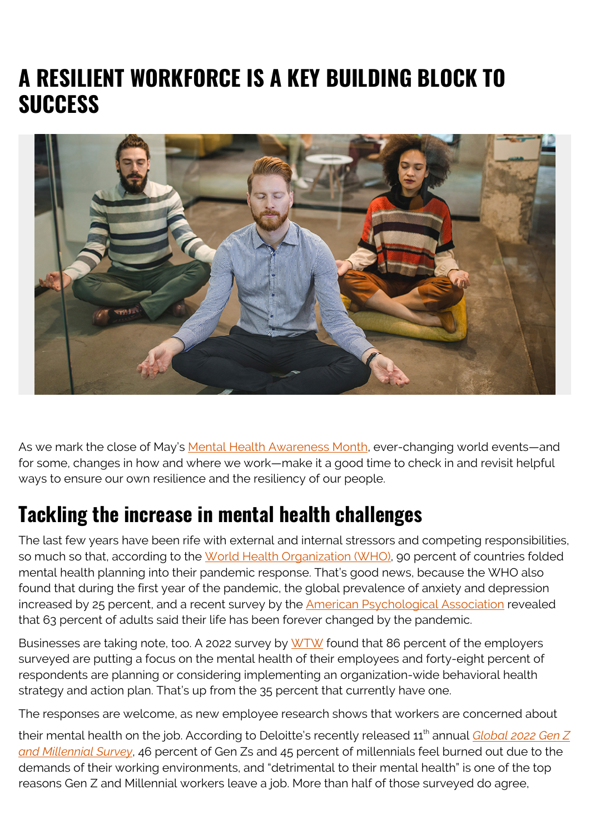# **A RESILIENT WORKFORCE IS A KEY BUILDING BLOCK TO SUCCESS**



As we mark the close of May's [Mental Health Awareness Month](https://www.hhs.gov/about/news/2022/05/03/fact-sheet-celebrating-mental-health-awareness-month-2022.html), ever-changing world events—and for some, changes in how and where we work—make it a good time to check in and revisit helpful ways to ensure our own resilience and the resiliency of our people.

#### **Tackling the increase in mental health challenges**

The last few years have been rife with external and internal stressors and competing responsibilities, so much so that, according to the [World Health Organization \(WHO\)](https://www.who.int/news/item/02-03-2022-covid-19-pandemic-triggers-25-increase-in-prevalence-of-anxiety-and-depression-worldwide), 90 percent of countries folded mental health planning into their pandemic response. That's good news, because the WHO also found that during the first year of the pandemic, the global prevalence of anxiety and depression increased by 25 percent, and a recent survey by the [American Psychological Association](https://www.apa.org/news/press/releases/stress/2022/march-2022-survival-mode) revealed that 63 percent of adults said their life has been forever changed by the pandemic.

Businesses are taking note, too. A 2022 survey by [WTW](https://www.globenewswire.com/news-release/2022/01/24/2371814/0/en/Employers-pinpoint-workforce-mental-health-as-one-of-HR-s-top-priorities-for-2022.html) found that 86 percent of the employers surveyed are putting a focus on the mental health of their employees and forty-eight percent of respondents are planning or considering implementing an organization-wide behavioral health strategy and action plan. That's up from the 35 percent that currently have one.

The responses are welcome, as new employee research shows that workers are concerned about

their mental health on the job. According to Deloitte's recently released 11<sup>th</sup> annual *[Global 2022 Gen Z](https://www2.deloitte.com/global/en/pages/about-deloitte/articles/genzmillennialsurvey.html) [and Millennial Survey](https://www2.deloitte.com/global/en/pages/about-deloitte/articles/genzmillennialsurvey.html)*, 46 percent of Gen Zs and 45 percent of millennials feel burned out due to the demands of their working environments, and "detrimental to their mental health" is one of the top reasons Gen Z and Millennial workers leave a job. More than half of those surveyed do agree,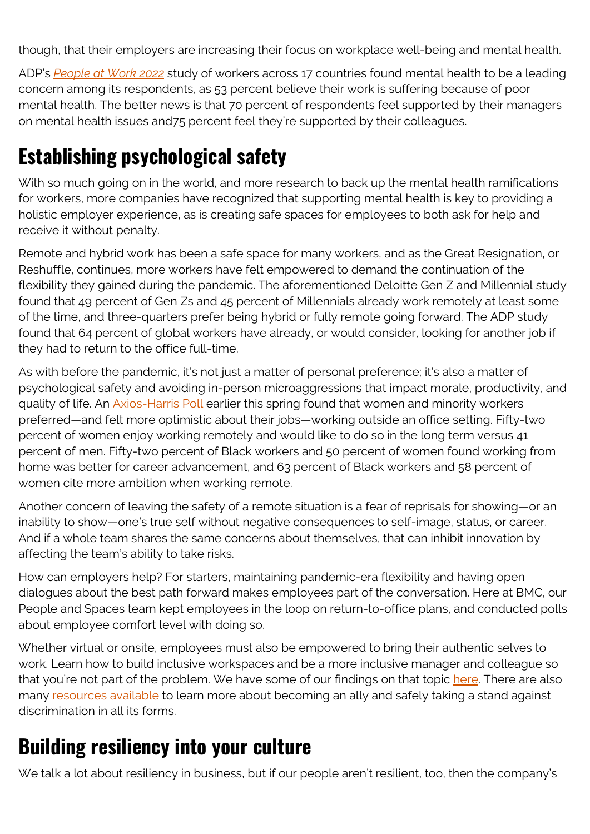though, that their employers are increasing their focus on workplace well-being and mental health.

ADP's *[People at Work 2022](https://www.adpri.org/assets/people-at-work-2022-a-global-workforce-view/)* study of workers across 17 countries found mental health to be a leading concern among its respondents, as 53 percent believe their work is suffering because of poor mental health. The better news is that 70 percent of respondents feel supported by their managers on mental health issues and75 percent feel they're supported by their colleagues.

## **Establishing psychological safety**

With so much going on in the world, and more research to back up the mental health ramifications for workers, more companies have recognized that supporting mental health is key to providing a holistic employer experience, as is creating safe spaces for employees to both ask for help and receive it without penalty.

Remote and hybrid work has been a safe space for many workers, and as the Great Resignation, or Reshuffle, continues, more workers have felt empowered to demand the continuation of the flexibility they gained during the pandemic. The aforementioned Deloitte Gen Z and Millennial study found that 49 percent of Gen Zs and 45 percent of Millennials already work remotely at least some of the time, and three-quarters prefer being hybrid or fully remote going forward. The ADP study found that 64 percent of global workers have already, or would consider, looking for another job if they had to return to the office full-time.

As with before the pandemic, it's not just a matter of personal preference; it's also a matter of psychological safety and avoiding in-person microaggressions that impact morale, productivity, and quality of life. An **[Axios-Harris Poll](https://theharrispoll.com/briefs/covid-19-tracker-wave-104/)** earlier this spring found that women and minority workers preferred—and felt more optimistic about their jobs—working outside an office setting. Fifty-two percent of women enjoy working remotely and would like to do so in the long term versus 41 percent of men. Fifty-two percent of Black workers and 50 percent of women found working from home was better for career advancement, and 63 percent of Black workers and 58 percent of women cite more ambition when working remote.

Another concern of leaving the safety of a remote situation is a fear of reprisals for showing—or an inability to show—one's true self without negative consequences to self-image, status, or career. And if a whole team shares the same concerns about themselves, that can inhibit innovation by affecting the team's ability to take risks.

How can employers help? For starters, maintaining pandemic-era flexibility and having open dialogues about the best path forward makes employees part of the conversation. Here at BMC, our People and Spaces team kept employees in the loop on return-to-office plans, and conducted polls about employee comfort level with doing so.

Whether virtual or onsite, employees must also be empowered to bring their authentic selves to work. Learn how to build inclusive workspaces and be a more inclusive manager and colleague so that you're not part of the problem. We have some of our findings on that topic [here.](https://www.bmc.com/blogs/tags/dei) There are also many [resources](https://anti-asianviolenceresources.carrd.co/) [available](https://www.afsc.org/bystanderintervention) to learn more about becoming an ally and safely taking a stand against discrimination in all its forms.

## **Building resiliency into your culture**

We talk a lot about resiliency in business, but if our people aren't resilient, too, then the company's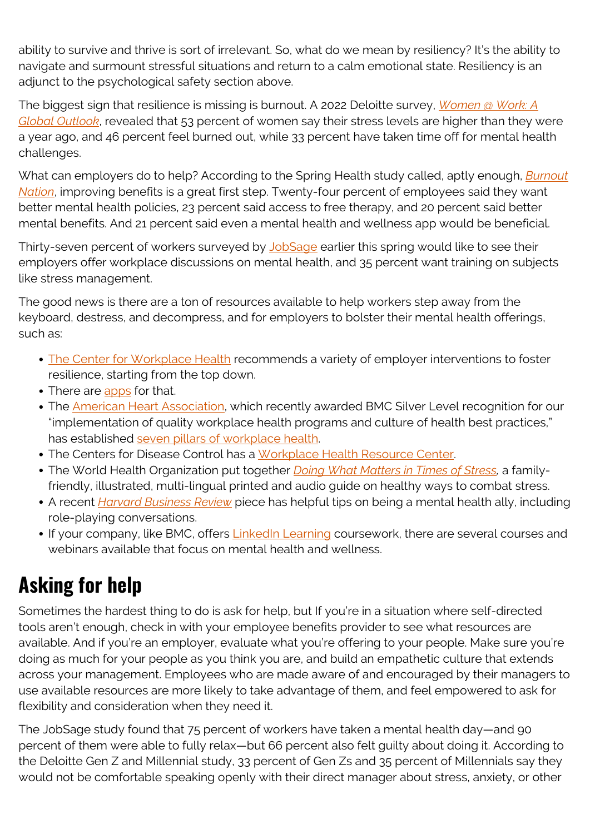ability to survive and thrive is sort of irrelevant. So, what do we mean by resiliency? It's the ability to navigate and surmount stressful situations and return to a calm emotional state. Resiliency is an adjunct to the psychological safety section above.

The biggest sign that resilience is missing is burnout. A 2022 Deloitte survey, *[Women @ Work: A](https://www2.deloitte.com/global/en/pages/about-deloitte/articles/women-at-work-global-outlook.html) [Global Outlook](https://www2.deloitte.com/global/en/pages/about-deloitte/articles/women-at-work-global-outlook.html)*, revealed that 53 percent of women say their stress levels are higher than they were a year ago, and 46 percent feel burned out, while 33 percent have taken time off for mental health challenges.

What can employers do to help? According to the Spring Health study called, aptly enough, *[Burnout](https://www.prnewswire.com/news-releases/study-finds-76-of-us-employees-are-currently-experiencing-worker-burnout-301191279.html) [Nation](https://www.prnewswire.com/news-releases/study-finds-76-of-us-employees-are-currently-experiencing-worker-burnout-301191279.html)*, improving benefits is a great first step. Twenty-four percent of employees said they want better mental health policies, 23 percent said access to free therapy, and 20 percent said better mental benefits. And 21 percent said even a mental health and wellness app would be beneficial.

Thirty-seven percent of workers surveyed by [JobSage](https://www.jobsage.com/blog/survey-do-companies-support-mental-health/) earlier this spring would like to see their employers offer workplace discussions on mental health, and 35 percent want training on subjects like stress management.

The good news is there are a ton of resources available to help workers step away from the keyboard, destress, and decompress, and for employers to bolster their mental health offerings, such as:

- [The Center for Workplace Health](http://workplacementalhealth.org/Mental-Health-Topics/Resilience) recommends a variety of employer interventions to foster resilience, starting from the top down.
- There are [apps](https://www.mequilibrium.com/) for that.
- The **American Heart Association**, which recently awarded BMC Silver Level recognition for our "implementation of quality workplace health programs and culture of health best practices," has established [seven pillars of workplace health](https://playbook.heart.org/).
- The Centers for Disease Control has a [Workplace Health Resource Center](https://www.cdc.gov/workplacehealthpromotion/initiatives/resource-center/index.html).
- The World Health Organization put together *[Doing What Matters in Times of Stress](https://www.who.int/publications/i/item/9789240003927),* a familyfriendly, illustrated, multi-lingual printed and audio guide on healthy ways to combat stress.
- A recent *[Harvard Business Review](https://hbr.org/2022/05/how-to-be-a-mental-health-ally)* piece has helpful tips on being a mental health ally, including role-playing conversations.
- If your company, like BMC, offers *[LinkedIn Learning](https://www.linkedin.com/learning/search?keywords=mental%20health&u=2094508)* coursework, there are several courses and webinars available that focus on mental health and wellness.

## **Asking for help**

Sometimes the hardest thing to do is ask for help, but If you're in a situation where self-directed tools aren't enough, check in with your employee benefits provider to see what resources are available. And if you're an employer, evaluate what you're offering to your people. Make sure you're doing as much for your people as you think you are, and build an empathetic culture that extends across your management. Employees who are made aware of and encouraged by their managers to use available resources are more likely to take advantage of them, and feel empowered to ask for flexibility and consideration when they need it.

The JobSage study found that 75 percent of workers have taken a mental health day—and 90 percent of them were able to fully relax—but 66 percent also felt guilty about doing it. According to the Deloitte Gen Z and Millennial study, 33 percent of Gen Zs and 35 percent of Millennials say they would not be comfortable speaking openly with their direct manager about stress, anxiety, or other